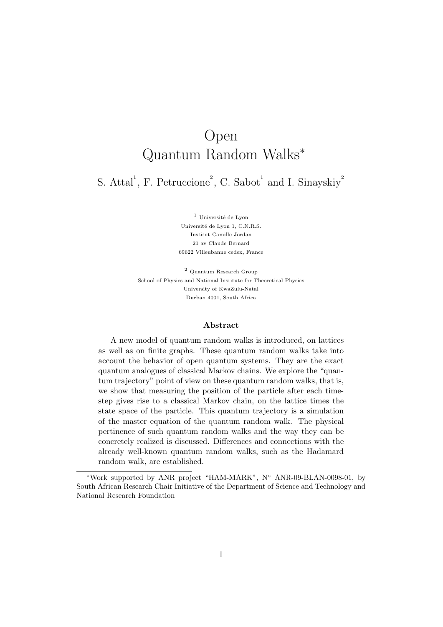# Open Quantum Random Walks<sup>∗</sup>

S. Attal<sup>1</sup>, F. Petruccione<sup>2</sup>, C. Sabot<sup>1</sup> and I. Sinayskiy<sup>2</sup>

 $^{\rm 1}$ Université de Lyon Université de Lyon 1, C.N.R.S. Institut Camille Jordan 21 av Claude Bernard 69622 Villeubanne cedex, France

 $^2$  Quantum Research Group School of Physics and National Institute for Theoretical Physics University of KwaZulu-Natal Durban 4001, South Africa

#### Abstract

A new model of quantum random walks is introduced, on lattices as well as on finite graphs. These quantum random walks take into account the behavior of open quantum systems. They are the exact quantum analogues of classical Markov chains. We explore the "quantum trajectory" point of view on these quantum random walks, that is, we show that measuring the position of the particle after each timestep gives rise to a classical Markov chain, on the lattice times the state space of the particle. This quantum trajectory is a simulation of the master equation of the quantum random walk. The physical pertinence of such quantum random walks and the way they can be concretely realized is discussed. Differences and connections with the already well-known quantum random walks, such as the Hadamard random walk, are established.

<sup>∗</sup>Work supported by ANR project "HAM-MARK", N◦ ANR-09-BLAN-0098-01, by South African Research Chair Initiative of the Department of Science and Technology and National Research Foundation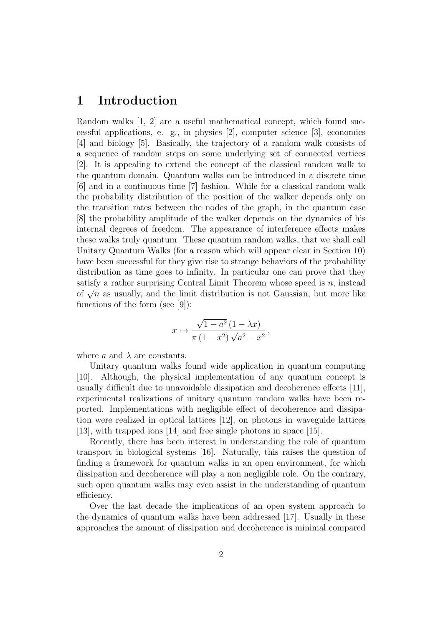# 1 Introduction

Random walks [1, 2] are a useful mathematical concept, which found successful applications, e. g., in physics [2], computer science [3], economics [4] and biology [5]. Basically, the trajectory of a random walk consists of a sequence of random steps on some underlying set of connected vertices [2]. It is appealing to extend the concept of the classical random walk to the quantum domain. Quantum walks can be introduced in a discrete time [6] and in a continuous time [7] fashion. While for a classical random walk the probability distribution of the position of the walker depends only on the transition rates between the nodes of the graph, in the quantum case [8] the probability amplitude of the walker depends on the dynamics of his internal degrees of freedom. The appearance of interference effects makes these walks truly quantum. These quantum random walks, that we shall call Unitary Quantum Walks (for a reason which will appear clear in Section 10) have been successful for they give rise to strange behaviors of the probability distribution as time goes to infinity. In particular one can prove that they satisfy a rather surprising Central Limit Theorem whose speed is  $n$ , instead satisfy a rather surprising Central Limit Theorem whose speed is *n*, instead<br>of  $\sqrt{n}$  as usually, and the limit distribution is not Gaussian, but more like functions of the form (see [9]):

$$
x \mapsto \frac{\sqrt{1-a^2}(1-\lambda x)}{\pi(1-x^2)\sqrt{a^2-x^2}},
$$

where a and  $\lambda$  are constants.

Unitary quantum walks found wide application in quantum computing [10]. Although, the physical implementation of any quantum concept is usually difficult due to unavoidable dissipation and decoherence effects [11], experimental realizations of unitary quantum random walks have been reported. Implementations with negligible effect of decoherence and dissipation were realized in optical lattices [12], on photons in waveguide lattices [13], with trapped ions [14] and free single photons in space [15].

Recently, there has been interest in understanding the role of quantum transport in biological systems [16]. Naturally, this raises the question of finding a framework for quantum walks in an open environment, for which dissipation and decoherence will play a non negligible role. On the contrary, such open quantum walks may even assist in the understanding of quantum efficiency.

Over the last decade the implications of an open system approach to the dynamics of quantum walks have been addressed [17]. Usually in these approaches the amount of dissipation and decoherence is minimal compared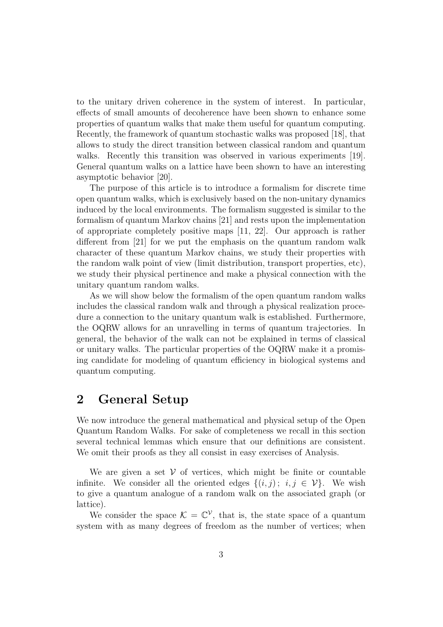to the unitary driven coherence in the system of interest. In particular, effects of small amounts of decoherence have been shown to enhance some properties of quantum walks that make them useful for quantum computing. Recently, the framework of quantum stochastic walks was proposed [18], that allows to study the direct transition between classical random and quantum walks. Recently this transition was observed in various experiments [19]. General quantum walks on a lattice have been shown to have an interesting asymptotic behavior [20].

The purpose of this article is to introduce a formalism for discrete time open quantum walks, which is exclusively based on the non-unitary dynamics induced by the local environments. The formalism suggested is similar to the formalism of quantum Markov chains [21] and rests upon the implementation of appropriate completely positive maps [11, 22]. Our approach is rather different from [21] for we put the emphasis on the quantum random walk character of these quantum Markov chains, we study their properties with the random walk point of view (limit distribution, transport properties, etc), we study their physical pertinence and make a physical connection with the unitary quantum random walks.

As we will show below the formalism of the open quantum random walks includes the classical random walk and through a physical realization procedure a connection to the unitary quantum walk is established. Furthermore, the OQRW allows for an unravelling in terms of quantum trajectories. In general, the behavior of the walk can not be explained in terms of classical or unitary walks. The particular properties of the OQRW make it a promising candidate for modeling of quantum efficiency in biological systems and quantum computing.

#### 2 General Setup

We now introduce the general mathematical and physical setup of the Open Quantum Random Walks. For sake of completeness we recall in this section several technical lemmas which ensure that our definitions are consistent. We omit their proofs as they all consist in easy exercises of Analysis.

We are given a set  $V$  of vertices, which might be finite or countable infinite. We consider all the oriented edges  $\{(i, j) : i, j \in \mathcal{V}\}\$ . We wish to give a quantum analogue of a random walk on the associated graph (or lattice).

We consider the space  $\mathcal{K} = \mathbb{C}^{\mathcal{V}}$ , that is, the state space of a quantum system with as many degrees of freedom as the number of vertices; when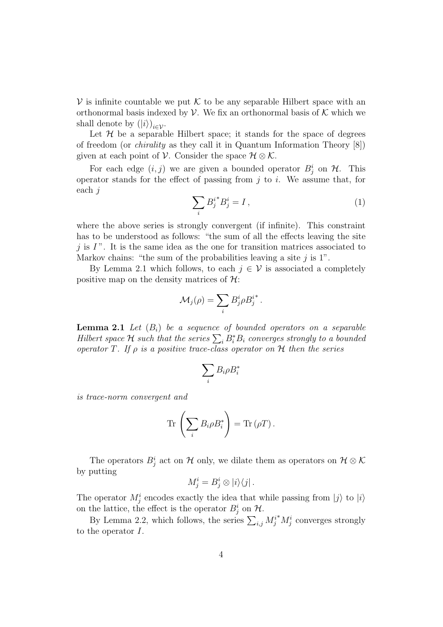$\mathcal V$  is infinite countable we put  $\mathcal K$  to be any separable Hilbert space with an orthonormal basis indexed by  $\mathcal V$ . We fix an orthonormal basis of  $\mathcal K$  which we shall denote by  $(|i\rangle)_{i \in \mathcal{V}}$ .

Let  $H$  be a separable Hilbert space; it stands for the space of degrees of freedom (or chirality as they call it in Quantum Information Theory [8]) given at each point of V. Consider the space  $\mathcal{H} \otimes \mathcal{K}$ .

For each edge  $(i, j)$  we are given a bounded operator  $B_j^i$  on  $\mathcal{H}$ . This operator stands for the effect of passing from  $j$  to  $i$ . We assume that, for each j

$$
\sum_{i} B_j^{i*} B_j^i = I \,, \tag{1}
$$

where the above series is strongly convergent (if infinite). This constraint has to be understood as follows: "the sum of all the effects leaving the site j is  $I$ ". It is the same idea as the one for transition matrices associated to Markov chains: "the sum of the probabilities leaving a site  $j$  is 1".

By Lemma 2.1 which follows, to each  $j \in V$  is associated a completely positive map on the density matrices of  $\mathcal{H}$ :

$$
\mathcal{M}_j(\rho) = \sum_i B^i_j \rho B^{i^*}_j.
$$

**Lemma 2.1** Let  $(B_i)$  be a sequence of bounded operators on a separable Hilbert space H such that the series  $\sum_i B_i^* B_i$  converges strongly to a bounded operator T. If  $\rho$  is a positive trace-class operator on  $\mathcal H$  then the series

$$
\sum_i B_i \rho B_i^*
$$

is trace-norm convergent and

$$
\operatorname{Tr}\left(\sum_{i}B_{i}\rho B_{i}^{*}\right)=\operatorname{Tr}\left(\rho T\right).
$$

The operators  $B_j^i$  act on H only, we dilate them as operators on  $\mathcal{H} \otimes \mathcal{K}$ by putting

$$
M_j^i = B_j^i \otimes |i\rangle\langle j|.
$$

The operator  $M_j^i$  encodes exactly the idea that while passing from  $|j\rangle$  to  $|i\rangle$ on the lattice, the effect is the operator  $B_j^i$  on  $\mathcal{H}$ .

By Lemma 2.2, which follows, the series  $\sum_{i,j} M_j^{i*} M_j^i$  converges strongly to the operator I.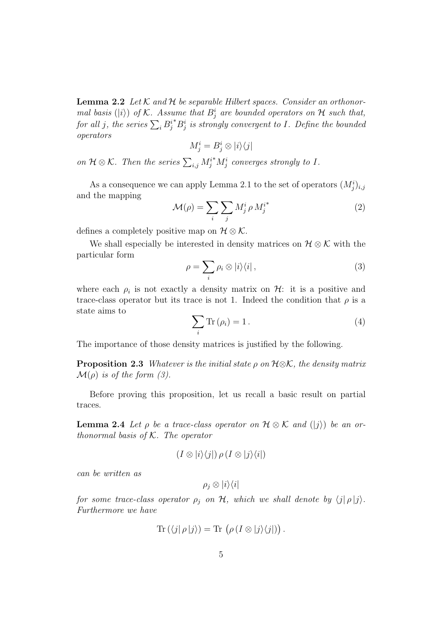**Lemma 2.2** Let  $K$  and  $H$  be separable Hilbert spaces. Consider an orthonormal basis ( $|i\rangle$ ) of K. Assume that  $B_j^i$  are bounded operators on H such that, for all j, the series  $\sum_i B_j^{i*} B_j^i$  is strongly convergent to I. Define the bounded operators

$$
M^i_j = B^i_j \otimes |i\rangle\langle j|
$$

on  $\mathcal{H} \otimes \mathcal{K}$ . Then the series  $\sum_{i,j} M_j^{i*} M_j^i$  converges strongly to I.

As a consequence we can apply Lemma 2.1 to the set of operators  $(M_j^i)_{i,j}$ and the mapping

$$
\mathcal{M}(\rho) = \sum_{i} \sum_{j} M_j^i \rho M_j^{i^*}
$$
 (2)

defines a completely positive map on  $\mathcal{H} \otimes \mathcal{K}$ .

We shall especially be interested in density matrices on  $\mathcal{H} \otimes \mathcal{K}$  with the particular form

$$
\rho = \sum_{i} \rho_i \otimes |i\rangle\langle i| \,,\tag{3}
$$

where each  $\rho_i$  is not exactly a density matrix on  $\mathcal{H}$ : it is a positive and trace-class operator but its trace is not 1. Indeed the condition that  $\rho$  is a state aims to

$$
\sum_{i} \text{Tr} \left( \rho_{i} \right) = 1. \tag{4}
$$

The importance of those density matrices is justified by the following.

**Proposition 2.3** Whatever is the initial state  $\rho$  on  $H \otimes K$ , the density matrix  $\mathcal{M}(\rho)$  is of the form (3).

Before proving this proposition, let us recall a basic result on partial traces.

**Lemma 2.4** Let  $\rho$  be a trace-class operator on  $\mathcal{H} \otimes \mathcal{K}$  and  $(|j\rangle)$  be an orthonormal basis of  $K$ . The operator

$$
(I\otimes |i\rangle\langle j|)\,\rho\,(I\otimes |j\rangle\langle i|)
$$

can be written as

 $\rho_i \otimes |i\rangle\langle i|$ 

for some trace-class operator  $\rho_j$  on  $H$ , which we shall denote by  $\langle j | \rho | j \rangle$ . Furthermore we have

$$
\operatorname{Tr}(\langle j|\,\rho\,|j\rangle) = \operatorname{Tr}(\rho(I\otimes|j\rangle\langle j|)).
$$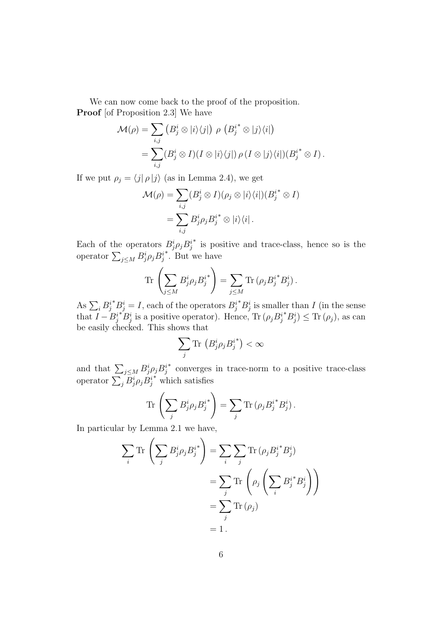We can now come back to the proof of the proposition. **Proof** [of Proposition 2.3] We have

$$
\mathcal{M}(\rho) = \sum_{i,j} \left( B_j^i \otimes |i\rangle\langle j| \right) \rho \left( B_j^{i^*} \otimes |j\rangle\langle i| \right)
$$
  
= 
$$
\sum_{i,j} (B_j^i \otimes I)(I \otimes |i\rangle\langle j|) \rho (I \otimes |j\rangle\langle i|) (B_j^{i^*} \otimes I).
$$

If we put  $\rho_j = \langle j | \rho | j \rangle$  (as in Lemma 2.4), we get

$$
\mathcal{M}(\rho) = \sum_{i,j} (B_j^i \otimes I)(\rho_j \otimes |i\rangle\langle i|)(B_j^{i^*} \otimes I)
$$
  
= 
$$
\sum_{i,j} B_j^i \rho_j B_j^{i^*} \otimes |i\rangle\langle i|.
$$

Each of the operators  $B_j^i \rho_j B_j^i$ ∗ is positive and trace-class, hence so is the operator  $\sum_{j\leq M}B^i_j \rho_j B^i_j$ ∗ . But we have

$$
\operatorname{Tr}\left(\sum_{j\leq M}B_j^i\rho_jB_j^{i^*}\right)=\sum_{j\leq M}\operatorname{Tr}\left(\rho_jB_j^{i^*}B_j^{i}\right).
$$

As  $\sum_i B_j^{i*} B_j^i = I$ , each of the operators  $B_j^{i*} B_j^i$  is smaller than I (in the sense that  $I - B_j^{i*} B_j^i$  is a positive operator). Hence,  $\text{Tr} (\rho_j B_j^{i*} B_j^i) \leq \text{Tr} (\rho_j)$ , as can be easily checked. This shows that

$$
\sum_j \text{Tr} \left( B_j^i \rho_j B_j^{i^*} \right) < \infty
$$

and that  $\sum_{j\leq M} B^i_j \rho_j B^i_j$ ∗ converges in trace-norm to a positive trace-class operator  $\sum_j B_j^i \rho_j B_j^i$ ∗ which satisfies

$$
\operatorname{Tr}\left(\sum_{j} B_{j}^{i} \rho_{j} B_{j}^{i^{*}}\right) = \sum_{j} \operatorname{Tr}\left(\rho_{j} B_{j}^{i^{*}} B_{j}^{i}\right).
$$

In particular by Lemma 2.1 we have,

$$
\sum_{i} \text{Tr}\left(\sum_{j} B_{j}^{i} \rho_{j} B_{j}^{i^{*}}\right) = \sum_{i} \sum_{j} \text{Tr}\left(\rho_{j} B_{j}^{i^{*}} B_{j}^{i}\right)
$$

$$
= \sum_{j} \text{Tr}\left(\rho_{j} \left(\sum_{i} B_{j}^{i^{*}} B_{j}^{i}\right)\right)
$$

$$
= \sum_{j} \text{Tr}\left(\rho_{j}\right)
$$

$$
= 1.
$$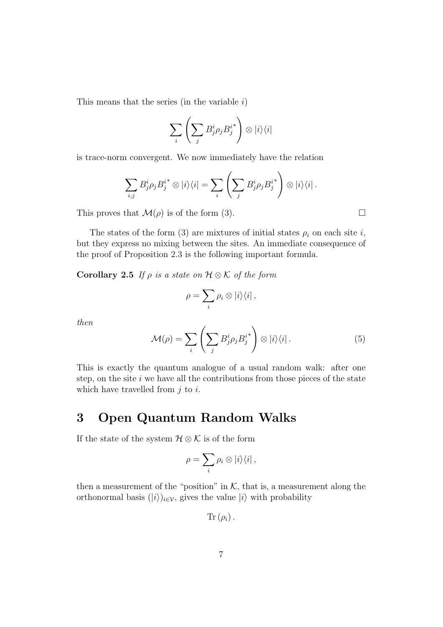This means that the series (in the variable  $i$ )

$$
\sum_{i}\left(\sum_{j}B_{j}^{i}\rho_{j}B_{j}^{i^{*}}\right)\otimes|i\rangle\langle i|
$$

is trace-norm convergent. We now immediately have the relation

$$
\sum_{i,j} B_j^i \rho_j B_j^{i^*} \otimes |i\rangle\langle i| = \sum_i \left( \sum_j B_j^i \rho_j B_j^{i^*} \right) \otimes |i\rangle\langle i|.
$$

This proves that  $\mathcal{M}(\rho)$  is of the form (3).

The states of the form (3) are mixtures of initial states  $\rho_i$  on each site i, but they express no mixing between the sites. An immediate consequence of the proof of Proposition 2.3 is the following important formula.

Corollary 2.5 If  $\rho$  is a state on  $\mathcal{H} \otimes \mathcal{K}$  of the form

$$
\rho = \sum_i \rho_i \otimes |i\rangle\langle i|,
$$

then

$$
\mathcal{M}(\rho) = \sum_{i} \left( \sum_{j} B_{j}^{i} \rho_{j} B_{j}^{i^{*}} \right) \otimes |i\rangle\langle i|.
$$
 (5)

This is exactly the quantum analogue of a usual random walk: after one step, on the site  $i$  we have all the contributions from those pieces of the state which have travelled from  $i$  to  $i$ .

# 3 Open Quantum Random Walks

If the state of the system  $\mathcal{H} \otimes \mathcal{K}$  is of the form

$$
\rho = \sum_i \rho_i \otimes |i\rangle\langle i|,
$$

then a measurement of the "position" in  $K$ , that is, a measurement along the orthonormal basis  $(|i\rangle)_{i\in\mathcal{V}}$ , gives the value  $|i\rangle$  with probability

$$
\text{Tr} \left( \rho_i \right).
$$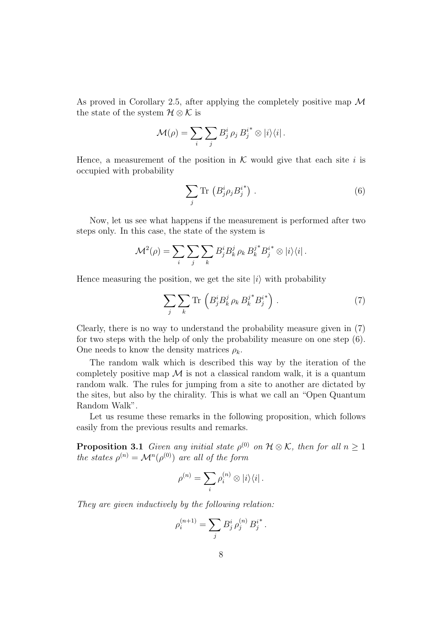As proved in Corollary 2.5, after applying the completely positive map  $\mathcal M$ the state of the system  $\mathcal{H} \otimes \mathcal{K}$  is

$$
\mathcal{M}(\rho) = \sum_{i} \sum_{j} B_{j}^{i} \rho_{j} B_{j}^{i} \otimes |i\rangle\langle i|.
$$

Hence, a measurement of the position in  $K$  would give that each site i is occupied with probability

$$
\sum_{j} \text{Tr} \left( B_j^i \rho_j B_j^{i^*} \right) . \tag{6}
$$

Now, let us see what happens if the measurement is performed after two steps only. In this case, the state of the system is

$$
\mathcal{M}^{2}(\rho) = \sum_{i} \sum_{j} \sum_{k} B_{j}^{i} B_{k}^{j} \rho_{k} B_{k}^{j}^{*} B_{j}^{i} \otimes |i\rangle\langle i|.
$$

Hence measuring the position, we get the site  $|i\rangle$  with probability

$$
\sum_{j} \sum_{k} \text{Tr} \left( B_j^i B_k^j \rho_k B_k^{j^*} B_j^{i^*} \right) . \tag{7}
$$

Clearly, there is no way to understand the probability measure given in (7) for two steps with the help of only the probability measure on one step (6). One needs to know the density matrices  $\rho_k$ .

The random walk which is described this way by the iteration of the completely positive map  $\mathcal M$  is not a classical random walk, it is a quantum random walk. The rules for jumping from a site to another are dictated by the sites, but also by the chirality. This is what we call an "Open Quantum Random Walk".

Let us resume these remarks in the following proposition, which follows easily from the previous results and remarks.

**Proposition 3.1** Given any initial state  $\rho^{(0)}$  on  $\mathcal{H} \otimes \mathcal{K}$ , then for all  $n \geq 1$ the states  $\rho^{(n)} = \mathcal{M}^n(\rho^{(0)})$  are all of the form

$$
\rho^{(n)} = \sum_i \rho_i^{(n)} \otimes |i\rangle\langle i|.
$$

They are given inductively by the following relation:

$$
\rho_i^{(n+1)} = \sum_j B^i_j \,\rho_j^{(n)} \, B^{i^*}_j.
$$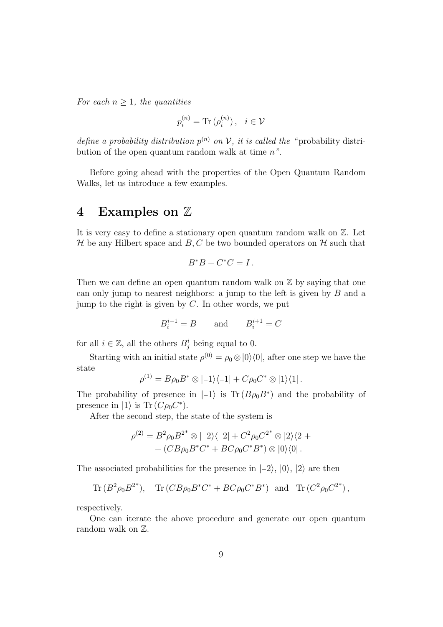For each  $n \geq 1$ , the quantities

$$
p_i^{(n)} = \text{Tr}\left(\rho_i^{(n)}\right), \quad i \in \mathcal{V}
$$

define a probability distribution  $p^{(n)}$  on V, it is called the "probability distribution of the open quantum random walk at time  $n^{\prime\prime}$ .

Before going ahead with the properties of the Open Quantum Random Walks, let us introduce a few examples.

#### 4 Examples on Z

It is very easy to define a stationary open quantum random walk on Z. Let  $\mathcal H$  be any Hilbert space and  $B, C$  be two bounded operators on  $\mathcal H$  such that

$$
B^*B+C^*C=I.
$$

Then we can define an open quantum random walk on  $\mathbb Z$  by saying that one can only jump to nearest neighbors: a jump to the left is given by B and a jump to the right is given by  $C$ . In other words, we put

$$
B_i^{i-1} = B \qquad \text{and} \qquad B_i^{i+1} = C
$$

for all  $i \in \mathbb{Z}$ , all the others  $B_j^i$  being equal to 0.

Starting with an initial state  $\rho^{(0)} = \rho_0 \otimes |0\rangle\langle 0|$ , after one step we have the state

$$
\rho^{(1)} = B\rho_0 B^* \otimes |1\rangle\langle-1| + C\rho_0 C^* \otimes |1\rangle\langle1|.
$$

The probability of presence in  $|-1\rangle$  is Tr  $(B\rho_0 B^*)$  and the probability of presence in  $|1\rangle$  is Tr  $(C\rho_0 C^*)$ .

After the second step, the state of the system is

$$
\rho^{(2)} = B^2 \rho_0 B^{2^*} \otimes | -2 \rangle \langle -2 | + C^2 \rho_0 C^{2^*} \otimes | 2 \rangle \langle 2 | +
$$
  
+ 
$$
(CB \rho_0 B^* C^* + BC \rho_0 C^* B^*) \otimes |0 \rangle \langle 0|.
$$

The associated probabilities for the presence in  $|-2\rangle$ ,  $|0\rangle$ ,  $|2\rangle$  are then

Tr 
$$
(B^2 \rho_0 B^{2*})
$$
, Tr  $(CB\rho_0 B^* C^* + BC\rho_0 C^* B^*)$  and Tr  $(C^2 \rho_0 C^{2*})$ ,

respectively.

One can iterate the above procedure and generate our open quantum random walk on  $\mathbb{Z}$ .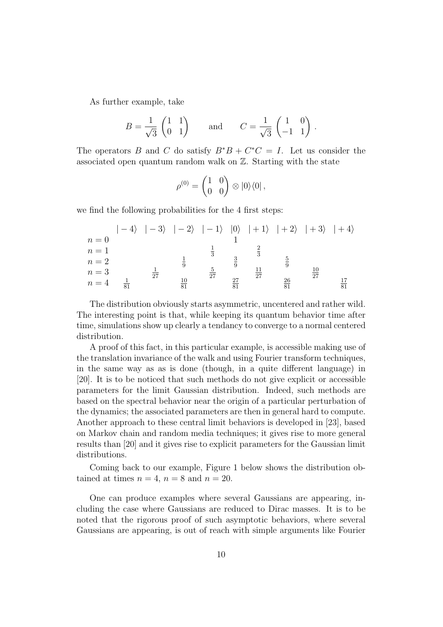As further example, take

$$
B = \frac{1}{\sqrt{3}} \begin{pmatrix} 1 & 1 \\ 0 & 1 \end{pmatrix} \quad \text{and} \quad C = \frac{1}{\sqrt{3}} \begin{pmatrix} 1 & 0 \\ -1 & 1 \end{pmatrix}.
$$

The operators B and C do satisfy  $B^*B + C^*C = I$ . Let us consider the associated open quantum random walk on Z. Starting with the state

$$
\rho^{(0)} = \begin{pmatrix} 1 & 0 \\ 0 & 0 \end{pmatrix} \otimes |0\rangle\langle 0|,
$$

we find the following probabilities for the 4 first steps:

|       |    |    |          | $ -4\rangle$ $ -3\rangle$ $ -2\rangle$ $ -1\rangle$ $ 0\rangle$ $ +1\rangle$ $ +2\rangle$ $ +3\rangle$ $ +4\rangle$ |    |    |  |
|-------|----|----|----------|---------------------------------------------------------------------------------------------------------------------|----|----|--|
| $n=0$ |    |    |          |                                                                                                                     |    |    |  |
| $n=1$ |    |    |          |                                                                                                                     |    |    |  |
| $n=2$ |    |    |          |                                                                                                                     |    |    |  |
| $n=3$ |    | 27 |          | 27                                                                                                                  |    |    |  |
| $n=4$ | 81 |    | 10<br>81 |                                                                                                                     | 27 | 26 |  |

The distribution obviously starts asymmetric, uncentered and rather wild. The interesting point is that, while keeping its quantum behavior time after time, simulations show up clearly a tendancy to converge to a normal centered distribution.

A proof of this fact, in this particular example, is accessible making use of the translation invariance of the walk and using Fourier transform techniques, in the same way as as is done (though, in a quite different language) in [20]. It is to be noticed that such methods do not give explicit or accessible parameters for the limit Gaussian distribution. Indeed, such methods are based on the spectral behavior near the origin of a particular perturbation of the dynamics; the associated parameters are then in general hard to compute. Another approach to these central limit behaviors is developed in [23], based on Markov chain and random media techniques; it gives rise to more general results than [20] and it gives rise to explicit parameters for the Gaussian limit distributions.

Coming back to our example, Figure 1 below shows the distribution obtained at times  $n = 4$ ,  $n = 8$  and  $n = 20$ .

One can produce examples where several Gaussians are appearing, including the case where Gaussians are reduced to Dirac masses. It is to be noted that the rigorous proof of such asymptotic behaviors, where several Gaussians are appearing, is out of reach with simple arguments like Fourier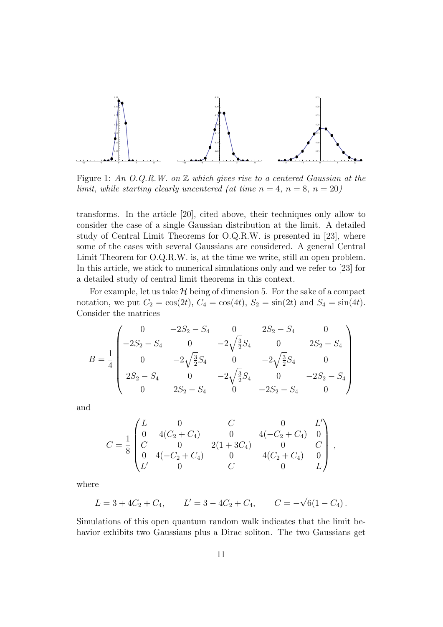

Figure 1: An O.Q.R.W. on  $\mathbb Z$  which gives rise to a centered Gaussian at the limit, while starting clearly uncentered (at time  $n = 4$ ,  $n = 8$ ,  $n = 20$ )

transforms. In the article [20], cited above, their techniques only allow to consider the case of a single Gaussian distribution at the limit. A detailed study of Central Limit Theorems for O.Q.R.W. is presented in [23], where some of the cases with several Gaussians are considered. A general Central Limit Theorem for O.Q.R.W. is, at the time we write, still an open problem. In this article, we stick to numerical simulations only and we refer to [23] for a detailed study of central limit theorems in this context.

For example, let us take  $H$  being of dimension 5. For the sake of a compact notation, we put  $C_2 = \cos(2t)$ ,  $C_4 = \cos(4t)$ ,  $S_2 = \sin(2t)$  and  $S_4 = \sin(4t)$ . Consider the matrices

$$
B = \frac{1}{4} \begin{pmatrix} 0 & -2S_2 - S_4 & 0 & 2S_2 - S_4 & 0 \\ -2S_2 - S_4 & 0 & -2\sqrt{\frac{3}{2}}S_4 & 0 & 2S_2 - S_4 \\ 0 & -2\sqrt{\frac{3}{2}}S_4 & 0 & -2\sqrt{\frac{3}{2}}S_4 & 0 \\ 2S_2 - S_4 & 0 & -2\sqrt{\frac{3}{2}}S_4 & 0 & -2S_2 - S_4 \\ 0 & 2S_2 - S_4 & 0 & -2S_2 - S_4 & 0 \end{pmatrix}
$$

and

$$
C = \frac{1}{8} \begin{pmatrix} L & 0 & C & 0 & L' \\ 0 & 4(C_2 + C_4) & 0 & 4(-C_2 + C_4) & 0 \\ C & 0 & 2(1 + 3C_4) & 0 & C \\ 0 & 4(-C_2 + C_4) & 0 & 4(C_2 + C_4) & 0 \\ L' & 0 & C & 0 & L \end{pmatrix},
$$

where

$$
L = 3 + 4C_2 + C_4, \qquad L' = 3 - 4C_2 + C_4, \qquad C = -\sqrt{6}(1 - C_4).
$$

Simulations of this open quantum random walk indicates that the limit behavior exhibits two Gaussians plus a Dirac soliton. The two Gaussians get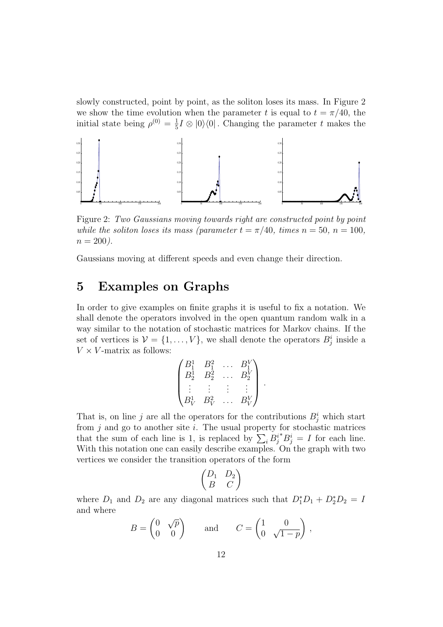slowly constructed, point by point, as the soliton loses its mass. In Figure 2 we show the time evolution when the parameter t is equal to  $t = \pi/40$ , the initial state being  $\rho^{(0)} = \frac{1}{5}$  $\frac{1}{5}I\otimes|0\rangle\langle0|$ . Changing the parameter t makes the



Figure 2: Two Gaussians moving towards right are constructed point by point while the soliton loses its mass (parameter  $t = \pi/40$ , times  $n = 50$ ,  $n = 100$ ,  $n = 200$ ).

Gaussians moving at different speeds and even change their direction.

# 5 Examples on Graphs

In order to give examples on finite graphs it is useful to fix a notation. We shall denote the operators involved in the open quantum random walk in a way similar to the notation of stochastic matrices for Markov chains. If the set of vertices is  $V = \{1, ..., V\}$ , we shall denote the operators  $B_j^i$  inside a  $V \times V$ -matrix as follows:

$$
\begin{pmatrix} B_1^1 & B_1^2 & \dots & B_1^V \\ B_2^1 & B_2^2 & \dots & B_2^V \\ \vdots & \vdots & \vdots & \vdots \\ B_V^1 & B_V^2 & \dots & B_V^V \end{pmatrix}
$$

.

That is, on line j are all the operators for the contributions  $B_j^i$  which start from  $j$  and go to another site  $i$ . The usual property for stochastic matrices that the sum of each line is 1, is replaced by  $\sum_i B_j^{i*} B_j^i = I$  for each line. With this notation one can easily describe examples. On the graph with two vertices we consider the transition operators of the form

$$
\begin{pmatrix} D_1 & D_2 \\ B & C \end{pmatrix}
$$

where  $D_1$  and  $D_2$  are any diagonal matrices such that  $D_1^*D_1 + D_2^*D_2 = D_1$ and where

$$
B = \begin{pmatrix} 0 & \sqrt{p} \\ 0 & 0 \end{pmatrix} \quad \text{and} \quad C = \begin{pmatrix} 1 & 0 \\ 0 & \sqrt{1-p} \end{pmatrix},
$$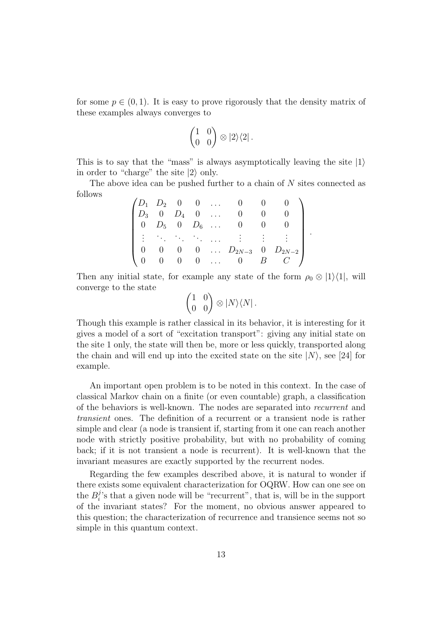for some  $p \in (0, 1)$ . It is easy to prove rigorously that the density matrix of these examples always converges to

$$
\begin{pmatrix} 1 & 0 \\ 0 & 0 \end{pmatrix} \otimes |2\rangle\langle 2|.
$$

This is to say that the "mass" is always asymptotically leaving the site  $|1\rangle$ in order to "charge" the site  $|2\rangle$  only.

The above idea can be pushed further to a chain of N sites connected as follows

|                                                    |  | $(D_1 \quad D_2 \quad 0 \quad 0 \quad \dots \quad 0 \quad 0 \quad 0$           |                 |                                                                |
|----------------------------------------------------|--|--------------------------------------------------------------------------------|-----------------|----------------------------------------------------------------|
|                                                    |  | $D_3$ 0 $D_4$ 0  0                                                             | $\vert 0 \vert$ |                                                                |
|                                                    |  | $\begin{array}{ ccccccccccccccc }\n0 & D_5 & 0 & D_6 & \dots & 0\n\end{array}$ | $\vert 0 \vert$ |                                                                |
| $\mathbb{R}^n$ , the first particle $\mathbb{R}^n$ |  |                                                                                |                 |                                                                |
|                                                    |  |                                                                                |                 | $0 \quad 0 \quad \ldots \quad D_{2N-3} \quad 0 \quad D_{2N-2}$ |
|                                                    |  | $0 \quad 0 \quad \dots \quad 0 \quad B$                                        |                 |                                                                |

.

Then any initial state, for example any state of the form  $\rho_0 \otimes |1\rangle\langle 1|$ , will converge to the state

$$
\begin{pmatrix} 1 & 0 \\ 0 & 0 \end{pmatrix} \otimes |N\rangle\langle N|.
$$

Though this example is rather classical in its behavior, it is interesting for it gives a model of a sort of "excitation transport": giving any initial state on the site 1 only, the state will then be, more or less quickly, transported along the chain and will end up into the excited state on the site  $|N\rangle$ , see [24] for example.

An important open problem is to be noted in this context. In the case of classical Markov chain on a finite (or even countable) graph, a classification of the behaviors is well-known. The nodes are separated into recurrent and transient ones. The definition of a recurrent or a transient node is rather simple and clear (a node is transient if, starting from it one can reach another node with strictly positive probability, but with no probability of coming back; if it is not transient a node is recurrent). It is well-known that the invariant measures are exactly supported by the recurrent nodes.

Regarding the few examples described above, it is natural to wonder if there exists some equivalent characterization for OQRW. How can one see on the  $B_i^j$  $i$ 's that a given node will be "recurrent", that is, will be in the support of the invariant states? For the moment, no obvious answer appeared to this question; the characterization of recurrence and transience seems not so simple in this quantum context.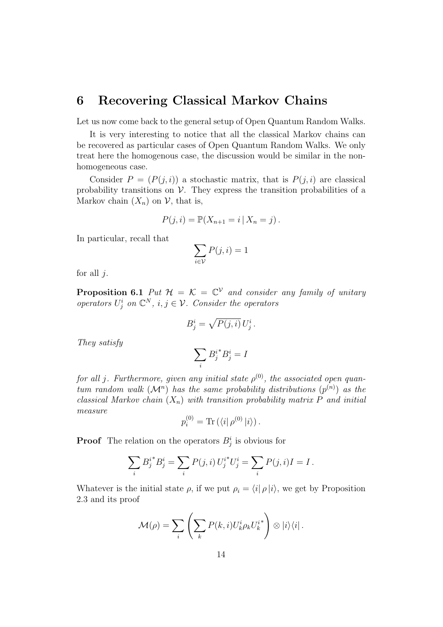### 6 Recovering Classical Markov Chains

Let us now come back to the general setup of Open Quantum Random Walks.

It is very interesting to notice that all the classical Markov chains can be recovered as particular cases of Open Quantum Random Walks. We only treat here the homogenous case, the discussion would be similar in the nonhomogeneous case.

Consider  $P = (P(j, i))$  a stochastic matrix, that is  $P(j, i)$  are classical probability transitions on  $\mathcal V$ . They express the transition probabilities of a Markov chain  $(X_n)$  on  $\mathcal V$ , that is,

$$
P(j, i) = \mathbb{P}(X_{n+1} = i | X_n = j).
$$

In particular, recall that

$$
\sum_{i \in \mathcal{V}} P(j, i) = 1
$$

for all  $i$ .

**Proposition 6.1** Put  $\mathcal{H} = \mathcal{K} = \mathbb{C}^{\mathcal{V}}$  and consider any family of unitary operators  $U_j^i$  on  $\mathbb{C}^N$ ,  $i, j \in \mathcal{V}$ . Consider the operators

$$
B_j^i = \sqrt{P(j,i)} U_j^i.
$$

They satisfy

$$
\sum_i {B_j^i}^*B_j^i=I
$$

for all j. Furthermore, given any initial state  $\rho^{(0)}$ , the associated open quantum random walk  $(M^n)$  has the same probability distributions  $(p^{(n)})$  as the classical Markov chain  $(X_n)$  with transition probability matrix P and initial measure

$$
p_i^{(0)} = \text{Tr}(\langle i | \rho^{(0)} | i \rangle).
$$

**Proof** The relation on the operators  $B_j^i$  is obvious for

$$
\sum_{i} B_{j}^{i*} B_{j}^{i} = \sum_{i} P(j,i) U_{j}^{i*} U_{j}^{i} = \sum_{i} P(j,i) I = I.
$$

Whatever is the initial state  $\rho$ , if we put  $\rho_i = \langle i | \rho | i \rangle$ , we get by Proposition 2.3 and its proof

$$
\mathcal{M}(\rho) = \sum_{i} \left( \sum_{k} P(k, i) U_{k}^{i} \rho_{k} U_{k}^{i} \right) \otimes |i\rangle\langle i|.
$$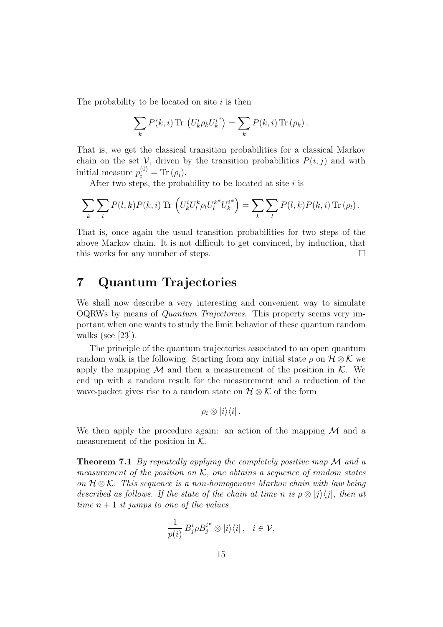The probability to be located on site  $i$  is then

$$
\sum_{k} P(k,i) \operatorname{Tr} (U_k^i \rho_k U_k^{i^*}) = \sum_{k} P(k,i) \operatorname{Tr} (\rho_k).
$$

That is, we get the classical transition probabilities for a classical Markov chain on the set V, driven by the transition probabilities  $P(i, j)$  and with initial measure  $p_i^{(0)} = \text{Tr}(\rho_i)$ .

After two steps, the probability to be located at site  $i$  is

$$
\sum_{k} \sum_{l} P(l,k) P(k,i) \operatorname{Tr} \left( U_k^i U_l^k \rho_l U_l^{k*} U_k^{i*} \right) = \sum_{k} \sum_{l} P(l,k) P(k,i) \operatorname{Tr} (\rho_l).
$$

That is, once again the usual transition probabilities for two steps of the above Markov chain. It is not difficult to get convinced, by induction, that this works for any number of steps.  $\square$ 

# 7 Quantum Trajectories

We shall now describe a very interesting and convenient way to simulate OQRWs by means of Quantum Trajectories. This property seems very important when one wants to study the limit behavior of these quantum random walks (see  $|23|$ ).

The principle of the quantum trajectories associated to an open quantum random walk is the following. Starting from any initial state  $\rho$  on  $H \otimes \mathcal{K}$  we apply the mapping  $M$  and then a measurement of the position in  $K$ . We end up with a random result for the measurement and a reduction of the wave-packet gives rise to a random state on  $\mathcal{H} \otimes \mathcal{K}$  of the form

$$
\rho_i\otimes |i\rangle\langle i|.
$$

We then apply the procedure again: an action of the mapping  $\mathcal M$  and a measurement of the position in  $K$ .

**Theorem 7.1** By repeatedly applying the completely positive map  $\mathcal M$  and a measurement of the position on  $K$ , one obtains a sequence of random states on  $H \otimes \mathcal{K}$ . This sequence is a non-homogenous Markov chain with law being described as follows. If the state of the chain at time n is  $\rho \otimes |j\rangle\langle j|$ , then at time  $n+1$  it jumps to one of the values

$$
\frac{1}{p(i)} B_j^i \rho B_j^{i^*} \otimes |i\rangle\langle i| \,, \quad i \in \mathcal{V},
$$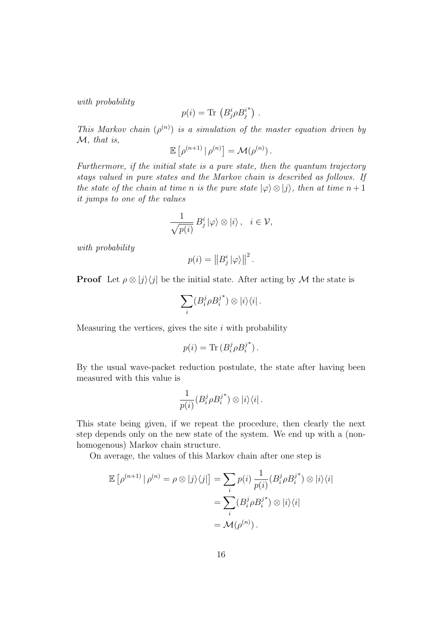with probability

$$
p(i) = \text{Tr} (B_j^i \rho B_j^{i^*}).
$$

This Markov chain  $(\rho^{(n)})$  is a simulation of the master equation driven by M, that is,

$$
\mathbb{E}\left[\rho^{(n+1)}\,|\,\rho^{(n)}\right]=\mathcal{M}(\rho^{(n)})\,.
$$

Furthermore, if the initial state is a pure state, then the quantum trajectory stays valued in pure states and the Markov chain is described as follows. If the state of the chain at time n is the pure state  $|\varphi\rangle \otimes |j\rangle$ , then at time  $n+1$ it jumps to one of the values

$$
\frac{1}{\sqrt{p(i)}} B_j^i |\varphi\rangle \otimes |i\rangle \, , \quad i \in \mathcal{V},
$$

with probability

$$
p(i) = ||B_j^i||\varphi\rangle||^2.
$$

**Proof** Let  $\rho \otimes |j\rangle\langle j|$  be the initial state. After acting by M the state is

$$
\sum_i (B_i^j \rho B_i^{j^*}) \otimes |i\rangle\langle i|.
$$

Measuring the vertices, gives the site  $i$  with probability

$$
p(i) = \text{Tr} (B_i^j \rho B_i^{j^*}).
$$

By the usual wave-packet reduction postulate, the state after having been measured with this value is

$$
\frac{1}{p(i)}(B_i^j \rho B_i^{j^*}) \otimes |i\rangle\langle i|.
$$

This state being given, if we repeat the procedure, then clearly the next step depends only on the new state of the system. We end up with a (nonhomogenous) Markov chain structure.

On average, the values of this Markov chain after one step is

$$
\mathbb{E}\left[\rho^{(n+1)}\,|\,\rho^{(n)}=\rho\otimes|j\rangle\langle j|\right]=\sum_{i}p(i)\,\frac{1}{p(i)}(B_i^j\rho B_i^{j^*})\otimes|i\rangle\langle i|
$$

$$
=\sum_{i}(B_i^j\rho B_i^{j^*})\otimes|i\rangle\langle i|
$$

$$
=\mathcal{M}(\rho^{(n)})\,.
$$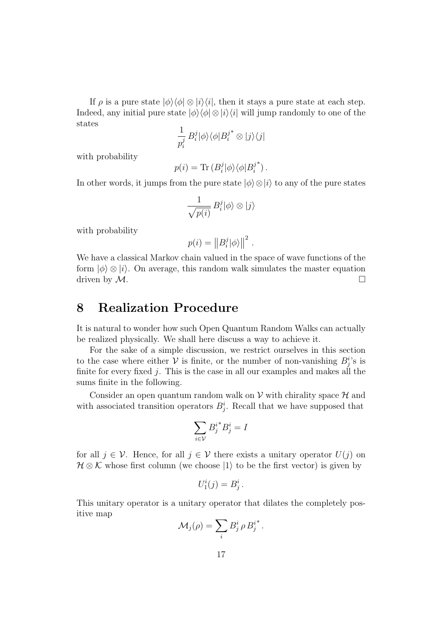If  $\rho$  is a pure state  $|\phi\rangle\langle\phi|\otimes|i\rangle\langle i|$ , then it stays a pure state at each step. Indeed, any initial pure state  $|\phi\rangle\langle\phi|\otimes|i\rangle\langle i|$  will jump randomly to one of the states

$$
\frac{1}{p_i^j} B_i^j |\phi\rangle\langle\phi| B_i^{j^*} \otimes |j\rangle\langle j|
$$

with probability

$$
p(i) = \text{Tr} (B_i^j | \phi \rangle \langle \phi | B_i^{j^*} ).
$$

In other words, it jumps from the pure state  $|\phi\rangle \otimes |i\rangle$  to any of the pure states

$$
\frac{1}{\sqrt{p(i)}} B_i^j |\phi\rangle \otimes |j\rangle
$$

with probability

$$
p(i) = ||B_i^j|\phi\rangle||^2.
$$

We have a classical Markov chain valued in the space of wave functions of the form  $|\phi\rangle \otimes |i\rangle$ . On average, this random walk simulates the master equation driven by  $M$ .

# 8 Realization Procedure

It is natural to wonder how such Open Quantum Random Walks can actually be realized physically. We shall here discuss a way to achieve it.

For the sake of a simple discussion, we restrict ourselves in this section to the case where either  $V$  is finite, or the number of non-vanishing  $B_j^i$ 's is finite for every fixed  $j$ . This is the case in all our examples and makes all the sums finite in the following.

Consider an open quantum random walk on  $\mathcal V$  with chirality space  $\mathcal H$  and with associated transition operators  $B_j^i$ . Recall that we have supposed that

$$
\sum_{i\in\mathcal{V}}{B_j^i}^*B_j^i=I
$$

for all  $j \in \mathcal{V}$ . Hence, for all  $j \in \mathcal{V}$  there exists a unitary operator  $U(j)$  on  $H \otimes K$  whose first column (we choose  $|1\rangle$  to be the first vector) is given by

$$
U_1^i(j) = B_j^i.
$$

This unitary operator is a unitary operator that dilates the completely positive map

$$
\mathcal{M}_j(\rho) = \sum_i B^i_j \rho B^{i^*}_j.
$$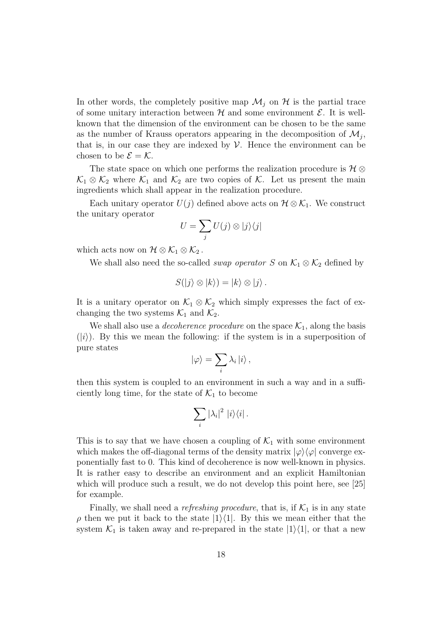In other words, the completely positive map  $\mathcal{M}_i$  on  $\mathcal{H}$  is the partial trace of some unitary interaction between  $\mathcal H$  and some environment  $\mathcal E$ . It is wellknown that the dimension of the environment can be chosen to be the same as the number of Krauss operators appearing in the decomposition of  $\mathcal{M}_j$ , that is, in our case they are indexed by  $\mathcal V$ . Hence the environment can be chosen to be  $\mathcal{E} = \mathcal{K}$ .

The state space on which one performs the realization procedure is  $\mathcal{H} \otimes$  $\mathcal{K}_1 \otimes \mathcal{K}_2$  where  $\mathcal{K}_1$  and  $\mathcal{K}_2$  are two copies of  $\mathcal{K}$ . Let us present the main ingredients which shall appear in the realization procedure.

Each unitary operator  $U(j)$  defined above acts on  $\mathcal{H} \otimes \mathcal{K}_1$ . We construct the unitary operator

$$
U = \sum_j U(j) \otimes |j\rangle\langle j|
$$

which acts now on  $\mathcal{H} \otimes \mathcal{K}_1 \otimes \mathcal{K}_2$ .

We shall also need the so-called *swap operator* S on  $\mathcal{K}_1 \otimes \mathcal{K}_2$  defined by

$$
S(|j\rangle \otimes |k\rangle) = |k\rangle \otimes |j\rangle.
$$

It is a unitary operator on  $\mathcal{K}_1 \otimes \mathcal{K}_2$  which simply expresses the fact of exchanging the two systems  $\mathcal{K}_1$  and  $\mathcal{K}_2$ .

We shall also use a *decoherence procedure* on the space  $\mathcal{K}_1$ , along the basis  $(|i\rangle)$ . By this we mean the following: if the system is in a superposition of pure states

$$
|\varphi\rangle = \sum_i \lambda_i |i\rangle ,
$$

then this system is coupled to an environment in such a way and in a sufficiently long time, for the state of  $\mathcal{K}_1$  to become

$$
\sum_i |\lambda_i|^2 |i\rangle\langle i|.
$$

This is to say that we have chosen a coupling of  $\mathcal{K}_1$  with some environment which makes the off-diagonal terms of the density matrix  $|\varphi\rangle\langle\varphi|$  converge exponentially fast to 0. This kind of decoherence is now well-known in physics. It is rather easy to describe an environment and an explicit Hamiltonian which will produce such a result, we do not develop this point here, see [25] for example.

Finally, we shall need a *refreshing procedure*, that is, if  $\mathcal{K}_1$  is in any state  $\rho$  then we put it back to the state  $|1\rangle\langle 1|$ . By this we mean either that the system  $\mathcal{K}_1$  is taken away and re-prepared in the state  $|1\rangle\langle 1|$ , or that a new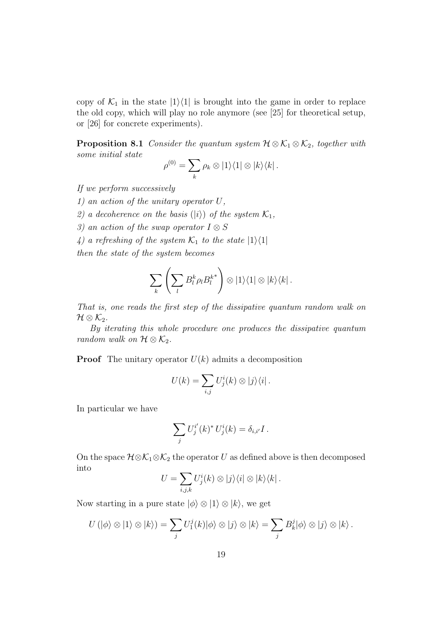copy of  $\mathcal{K}_1$  in the state  $|1\rangle\langle 1|$  is brought into the game in order to replace the old copy, which will play no role anymore (see [25] for theoretical setup, or [26] for concrete experiments).

**Proposition 8.1** Consider the quantum system  $\mathcal{H} \otimes \mathcal{K}_1 \otimes \mathcal{K}_2$ , together with some initial state

$$
\rho^{(0)} = \sum_{k} \rho_k \otimes |1\rangle\langle 1| \otimes |k\rangle\langle k|.
$$

If we perform successively

1) an action of the unitary operator U,

2) a decoherence on the basis ( $|i\rangle$ ) of the system  $\mathcal{K}_1$ ,

3) an action of the swap operator  $I \otimes S$ 

4) a refreshing of the system  $\mathcal{K}_1$  to the state  $|1\rangle\langle1|$ 

then the state of the system becomes

$$
\sum_{k}\left(\sum_{l}B_{l}^{k}\rho_{l}B_{l}^{k^{*}}\right)\otimes|1\rangle\langle1|\otimes|k\rangle\langle k|.
$$

That is, one reads the first step of the dissipative quantum random walk on  $\mathcal{H}\otimes\mathcal{K}_{2}.$ 

By iterating this whole procedure one produces the dissipative quantum random walk on  $\mathcal{H} \otimes \mathcal{K}_2$ .

**Proof** The unitary operator  $U(k)$  admits a decomposition

$$
U(k) = \sum_{i,j} U_j^i(k) \otimes |j\rangle\langle i|.
$$

In particular we have

$$
\sum_j U_j^{i'}(k)^* U_j^{i}(k) = \delta_{i,i'} I.
$$

On the space  $\mathcal{H} \otimes \mathcal{K}_1 \otimes \mathcal{K}_2$  the operator U as defined above is then decomposed into

$$
U = \sum_{i,j,k} U_j^i(k) \otimes |j\rangle\langle i| \otimes |k\rangle\langle k|.
$$

Now starting in a pure state  $|\phi\rangle \otimes |1\rangle \otimes |k\rangle$ , we get

$$
U(|\phi\rangle \otimes |1\rangle \otimes |k\rangle) = \sum_j U_1^j(k)|\phi\rangle \otimes |j\rangle \otimes |k\rangle = \sum_j B_k^j |\phi\rangle \otimes |j\rangle \otimes |k\rangle.
$$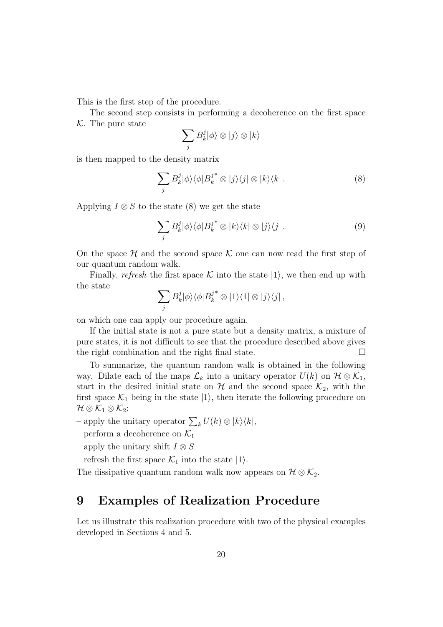This is the first step of the procedure.

The second step consists in performing a decoherence on the first space  $K$ . The pure state

$$
\sum_j B_k^j |\phi\rangle \otimes |j\rangle \otimes |k\rangle
$$

is then mapped to the density matrix

$$
\sum_{j} B_{k}^{j} |\phi\rangle\langle\phi| B_{k}^{j^{*}} \otimes |j\rangle\langle j| \otimes |k\rangle\langle k|.
$$
 (8)

Applying  $I \otimes S$  to the state (8) we get the state

$$
\sum_{j} B_{k}^{j} |\phi\rangle\langle\phi| B_{k}^{j^{*}} \otimes |k\rangle\langle k| \otimes |j\rangle\langle j|.
$$
 (9)

On the space  $H$  and the second space  $K$  one can now read the first step of our quantum random walk.

Finally, refresh the first space K into the state  $|1\rangle$ , we then end up with the state

$$
\sum_j B_k^j |\phi\rangle\langle\phi| B_k^{j^*} \otimes |1\rangle\langle 1| \otimes |j\rangle\langle j|,
$$

on which one can apply our procedure again.

If the initial state is not a pure state but a density matrix, a mixture of pure states, it is not difficult to see that the procedure described above gives the right combination and the right final state.  $\Box$ 

To summarize, the quantum random walk is obtained in the following way. Dilate each of the maps  $\mathcal{L}_k$  into a unitary operator  $U(k)$  on  $\mathcal{H} \otimes \mathcal{K}_1$ , start in the desired initial state on  $H$  and the second space  $\mathcal{K}_2$ , with the first space  $\mathcal{K}_1$  being in the state  $|1\rangle$ , then iterate the following procedure on  $\mathcal{H}\otimes\mathcal{K}_{1}\otimes\mathcal{K}_{2}$ :

– apply the unitary operator  $\sum_k U(k) \otimes |k\rangle\langle k|,$ 

– perform a decoherence on  $\mathcal{K}_1$ 

- apply the unitary shift  $I \otimes S$
- refresh the first space  $\mathcal{K}_1$  into the state  $|1\rangle$ .

The dissipative quantum random walk now appears on  $\mathcal{H} \otimes \mathcal{K}_2$ .

# 9 Examples of Realization Procedure

Let us illustrate this realization procedure with two of the physical examples developed in Sections 4 and 5.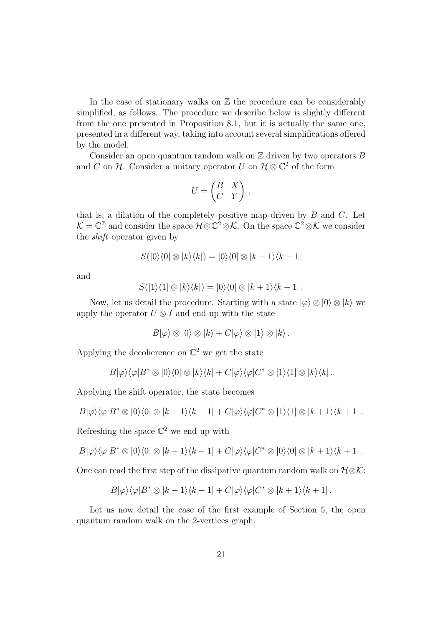In the case of stationary walks on  $\mathbb Z$  the procedure can be considerably simplified, as follows. The procedure we describe below is slightly different from the one presented in Proposition 8.1, but it is actually the same one, presented in a different way, taking into account several simplifications offered by the model.

Consider an open quantum random walk on  $\mathbb Z$  driven by two operators  $B$ and C on H. Consider a unitary operator U on  $\mathcal{H} \otimes \mathbb{C}^2$  of the form

$$
U = \begin{pmatrix} B & X \\ C & Y \end{pmatrix},
$$

that is, a dilation of the completely positive map driven by  $B$  and  $C$ . Let  $\mathcal{K}=\mathbb{C}^{\mathbb{Z}}$  and consider the space  $\mathcal{H}\otimes\mathbb{C}^2\otimes\mathcal{K}$ . On the space  $\mathbb{C}^2\otimes\mathcal{K}$  we consider the shift operator given by

$$
S(|0\rangle\langle 0| \otimes |k\rangle\langle k|) = |0\rangle\langle 0| \otimes |k-1\rangle\langle k-1|
$$

and

$$
S(|1\rangle\langle 1| \otimes |k\rangle\langle k|) = |0\rangle\langle 0| \otimes |k+1\rangle\langle k+1|.
$$

Now, let us detail the procedure. Starting with a state  $|\varphi\rangle \otimes |0\rangle \otimes |k\rangle$  we apply the operator  $U \otimes I$  and end up with the state

$$
B|\varphi\rangle \otimes |0\rangle \otimes |k\rangle + C|\varphi\rangle \otimes |1\rangle \otimes |k\rangle.
$$

Applying the decoherence on  $\mathbb{C}^2$  we get the state

$$
B|\varphi\rangle\langle\varphi|B^*\otimes|0\rangle\langle0|\otimes|k\rangle\langle k|+C|\varphi\rangle\langle\varphi|C^*\otimes|1\rangle\langle1|\otimes|k\rangle\langle k|.
$$

Applying the shift operator, the state becomes

$$
B|\varphi\rangle\langle\varphi|B^*\otimes|0\rangle\langle0|\otimes|k-1\rangle\langle k-1|+C|\varphi\rangle\langle\varphi|C^*\otimes|1\rangle\langle1|\otimes|k+1\rangle\langle k+1|.
$$

Refreshing the space  $\mathbb{C}^2$  we end up with

$$
B|\varphi\rangle\langle\varphi|B^*\otimes|0\rangle\langle0|\otimes|k-1\rangle\langle k-1|+C|\varphi\rangle\langle\varphi|C^*\otimes|0\rangle\langle0|\otimes|k+1\rangle\langle k+1|.
$$

One can read the first step of the dissipative quantum random walk on  $H \otimes \mathcal{K}$ :

$$
B|\varphi\rangle\langle\varphi|B^*\otimes|k-1\rangle\langle k-1|+C|\varphi\rangle\langle\varphi|C^*\otimes|k+1\rangle\langle k+1|.
$$

Let us now detail the case of the first example of Section 5, the open quantum random walk on the 2-vertices graph.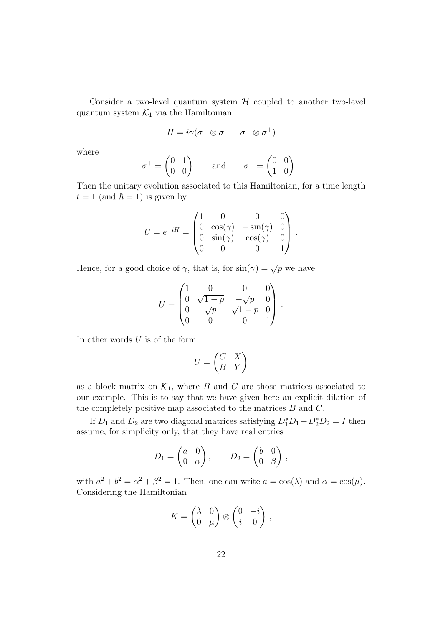Consider a two-level quantum system  $H$  coupled to another two-level quantum system  $\mathcal{K}_1$  via the Hamiltonian

$$
H = i\gamma(\sigma^+ \otimes \sigma^- - \sigma^- \otimes \sigma^+)
$$

where

$$
\sigma^+ = \begin{pmatrix} 0 & 1 \\ 0 & 0 \end{pmatrix} \quad \text{and} \quad \sigma^- = \begin{pmatrix} 0 & 0 \\ 1 & 0 \end{pmatrix}
$$

.

Then the unitary evolution associated to this Hamiltonian, for a time length  $t = 1$  (and  $\hbar = 1$ ) is given by

$$
U = e^{-iH} = \begin{pmatrix} 1 & 0 & 0 & 0 \\ 0 & \cos(\gamma) & -\sin(\gamma) & 0 \\ 0 & \sin(\gamma) & \cos(\gamma) & 0 \\ 0 & 0 & 0 & 1 \end{pmatrix}.
$$

Hence, for a good choice of  $\gamma$ , that is, for  $\sin(\gamma) = \sqrt{p}$  we have

$$
U = \begin{pmatrix} 1 & 0 & 0 & 0 \\ 0 & \sqrt{1-p} & -\sqrt{p} & 0 \\ 0 & \sqrt{p} & \sqrt{1-p} & 0 \\ 0 & 0 & 0 & 1 \end{pmatrix}.
$$

In other words  $U$  is of the form

$$
U = \begin{pmatrix} C & X \\ B & Y \end{pmatrix}
$$

as a block matrix on  $\mathcal{K}_1$ , where B and C are those matrices associated to our example. This is to say that we have given here an explicit dilation of the completely positive map associated to the matrices  $B$  and  $C$ .

If  $D_1$  and  $D_2$  are two diagonal matrices satisfying  $D_1^*D_1 + D_2^*D_2 = I$  then assume, for simplicity only, that they have real entries

$$
D_1 = \begin{pmatrix} a & 0 \\ 0 & \alpha \end{pmatrix}, \qquad D_2 = \begin{pmatrix} b & 0 \\ 0 & \beta \end{pmatrix},
$$

with  $a^2 + b^2 = \alpha^2 + \beta^2 = 1$ . Then, one can write  $a = \cos(\lambda)$  and  $\alpha = \cos(\mu)$ . Considering the Hamiltonian

$$
K = \begin{pmatrix} \lambda & 0 \\ 0 & \mu \end{pmatrix} \otimes \begin{pmatrix} 0 & -i \\ i & 0 \end{pmatrix},
$$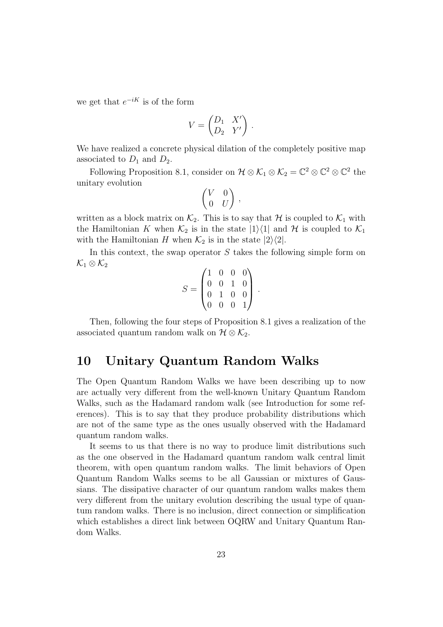we get that  $e^{-iK}$  is of the form

$$
V = \begin{pmatrix} D_1 & X' \\ D_2 & Y' \end{pmatrix}.
$$

We have realized a concrete physical dilation of the completely positive map associated to  $D_1$  and  $D_2$ .

Following Proposition 8.1, consider on  $\mathcal{H} \otimes \mathcal{K}_1 \otimes \mathcal{K}_2 = \mathbb{C}^2 \otimes \mathbb{C}^2 \otimes \mathbb{C}^2$  the unitary evolution

$$
\begin{pmatrix} V & 0 \\ 0 & U \end{pmatrix},
$$

written as a block matrix on  $\mathcal{K}_2$ . This is to say that H is coupled to  $\mathcal{K}_1$  with the Hamiltonian K when  $\mathcal{K}_2$  is in the state  $|1\rangle\langle 1|$  and H is coupled to  $\mathcal{K}_1$ with the Hamiltonian H when  $\mathcal{K}_2$  is in the state  $|2\rangle\langle 2|$ .

In this context, the swap operator  $S$  takes the following simple form on  $\mathcal{K}_1\otimes\mathcal{K}_2$ 

$$
S = \begin{pmatrix} 1 & 0 & 0 & 0 \\ 0 & 0 & 1 & 0 \\ 0 & 1 & 0 & 0 \\ 0 & 0 & 0 & 1 \end{pmatrix}.
$$

Then, following the four steps of Proposition 8.1 gives a realization of the associated quantum random walk on  $\mathcal{H} \otimes \mathcal{K}_2$ .

#### 10 Unitary Quantum Random Walks

The Open Quantum Random Walks we have been describing up to now are actually very different from the well-known Unitary Quantum Random Walks, such as the Hadamard random walk (see Introduction for some references). This is to say that they produce probability distributions which are not of the same type as the ones usually observed with the Hadamard quantum random walks.

It seems to us that there is no way to produce limit distributions such as the one observed in the Hadamard quantum random walk central limit theorem, with open quantum random walks. The limit behaviors of Open Quantum Random Walks seems to be all Gaussian or mixtures of Gaussians. The dissipative character of our quantum random walks makes them very different from the unitary evolution describing the usual type of quantum random walks. There is no inclusion, direct connection or simplification which establishes a direct link between OQRW and Unitary Quantum Random Walks.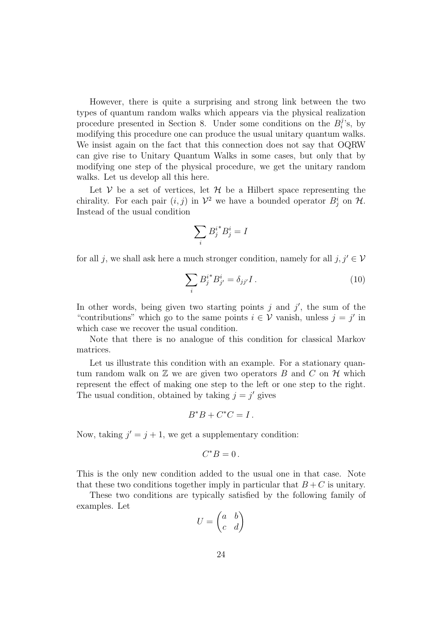However, there is quite a surprising and strong link between the two types of quantum random walks which appears via the physical realization procedure presented in Section 8. Under some conditions on the  $B_i^j$  $\mathfrak{g}'$ 's, by modifying this procedure one can produce the usual unitary quantum walks. We insist again on the fact that this connection does not say that OQRW can give rise to Unitary Quantum Walks in some cases, but only that by modifying one step of the physical procedure, we get the unitary random walks. Let us develop all this here.

Let  $V$  be a set of vertices, let  $H$  be a Hilbert space representing the chirality. For each pair  $(i, j)$  in  $\mathcal{V}^2$  we have a bounded operator  $B_j^i$  on  $\mathcal{H}$ . Instead of the usual condition

$$
\sum_i {B_j^i}^*B_j^i=I
$$

for all j, we shall ask here a much stronger condition, namely for all  $j, j' \in V$ 

$$
\sum_{i} B_{j}^{i} B_{j'}^{i} = \delta_{jj'} I . \tag{10}
$$

In other words, being given two starting points  $j$  and  $j'$ , the sum of the "contributions" which go to the same points  $i \in V$  vanish, unless  $j = j'$  in which case we recover the usual condition.

Note that there is no analogue of this condition for classical Markov matrices.

Let us illustrate this condition with an example. For a stationary quantum random walk on  $\mathbb Z$  we are given two operators B and C on  $\mathcal H$  which represent the effect of making one step to the left or one step to the right. The usual condition, obtained by taking  $j = j'$  gives

$$
B^*B + C^*C = I.
$$

Now, taking  $j' = j + 1$ , we get a supplementary condition:

$$
C^*B=0\,.
$$

This is the only new condition added to the usual one in that case. Note that these two conditions together imply in particular that  $B+C$  is unitary.

These two conditions are typically satisfied by the following family of examples. Let

$$
U = \begin{pmatrix} a & b \\ c & d \end{pmatrix}
$$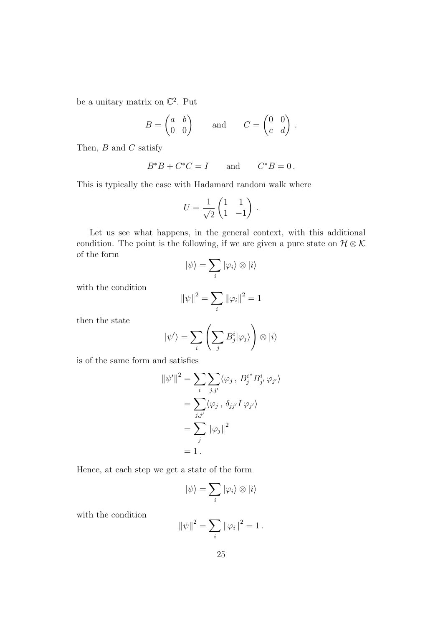be a unitary matrix on  $\mathbb{C}^2$ . Put

$$
B = \begin{pmatrix} a & b \\ 0 & 0 \end{pmatrix} \quad \text{and} \quad C = \begin{pmatrix} 0 & 0 \\ c & d \end{pmatrix}.
$$

Then,  $B$  and  $C$  satisfy

$$
B^*B+C^*C=I\qquad\text{and}\qquad C^*B=0\,.
$$

This is typically the case with Hadamard random walk where

$$
U = \frac{1}{\sqrt{2}} \begin{pmatrix} 1 & 1 \\ 1 & -1 \end{pmatrix} .
$$

Let us see what happens, in the general context, with this additional condition. The point is the following, if we are given a pure state on  $\mathcal{H} \otimes \mathcal{K}$ of the form

$$
|\psi\rangle = \sum_i |\varphi_i\rangle \otimes |i\rangle
$$

with the condition

$$
\|\psi\|^2=\sum_i\|\varphi_i\|^2=1
$$

then the state

$$
|\psi'\rangle = \sum_{i} \left(\sum_{j} B_{j}^{i} |\varphi_{j}\rangle\right) \otimes |i\rangle
$$

is of the same form and satisfies

$$
\|\psi'\|^2 = \sum_i \sum_{j,j'} \langle \varphi_j, B_j^{i*} B_{j'}^i \varphi_{j'} \rangle
$$
  
= 
$$
\sum_{j,j'} \langle \varphi_j, \delta_{jj'} I \varphi_{j'} \rangle
$$
  
= 
$$
\sum_j \|\varphi_j\|^2
$$
  
= 1.

Hence, at each step we get a state of the form

$$
|\psi\rangle = \sum_i |\varphi_i\rangle \otimes |i\rangle
$$

with the condition

$$
\|\psi\|^2 = \sum_i \|\varphi_i\|^2 = 1.
$$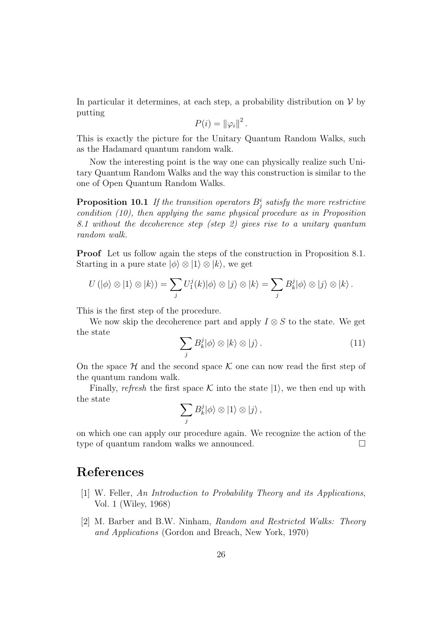In particular it determines, at each step, a probability distribution on  $\mathcal V$  by putting

$$
P(i) = \left\|\varphi_i\right\|^2.
$$

This is exactly the picture for the Unitary Quantum Random Walks, such as the Hadamard quantum random walk.

Now the interesting point is the way one can physically realize such Unitary Quantum Random Walks and the way this construction is similar to the one of Open Quantum Random Walks.

**Proposition 10.1** If the transition operators  $B^i_j$  satisfy the more restrictive condition (10), then applying the same physical procedure as in Proposition 8.1 without the decoherence step (step 2) gives rise to a unitary quantum random walk.

Proof Let us follow again the steps of the construction in Proposition 8.1. Starting in a pure state  $|\phi\rangle \otimes |1\rangle \otimes |k\rangle$ , we get

$$
U(|\phi\rangle \otimes |1\rangle \otimes |k\rangle) = \sum_j U_1^j(k)|\phi\rangle \otimes |j\rangle \otimes |k\rangle = \sum_j B_k^j |\phi\rangle \otimes |j\rangle \otimes |k\rangle.
$$

This is the first step of the procedure.

We now skip the decoherence part and apply  $I \otimes S$  to the state. We get the state

$$
\sum_{j} B_{k}^{j} |\phi\rangle \otimes |k\rangle \otimes |j\rangle. \tag{11}
$$

On the space  $\mathcal H$  and the second space  $\mathcal K$  one can now read the first step of the quantum random walk.

Finally, refresh the first space K into the state  $|1\rangle$ , we then end up with the state

$$
\sum_j B_k^j |\phi\rangle \otimes |1\rangle \otimes |j\rangle ,
$$

on which one can apply our procedure again. We recognize the action of the type of quantum random walks we announced.

# References

- [1] W. Feller, An Introduction to Probability Theory and its Applications, Vol. 1 (Wiley, 1968)
- [2] M. Barber and B.W. Ninham, Random and Restricted Walks: Theory and Applications (Gordon and Breach, New York, 1970)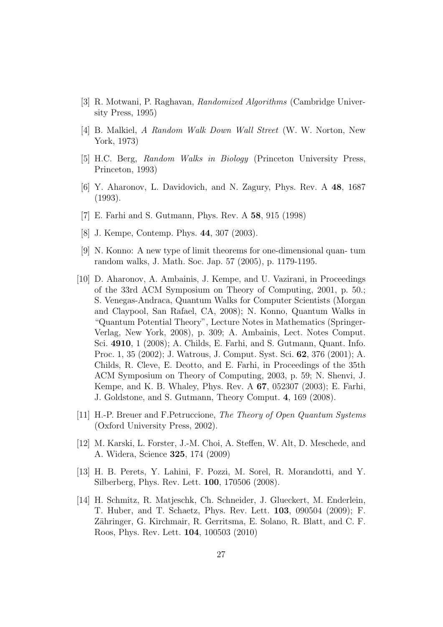- [3] R. Motwani, P. Raghavan, Randomized Algorithms (Cambridge University Press, 1995)
- [4] B. Malkiel, A Random Walk Down Wall Street (W. W. Norton, New York, 1973)
- [5] H.C. Berg, Random Walks in Biology (Princeton University Press, Princeton, 1993)
- [6] Y. Aharonov, L. Davidovich, and N. Zagury, Phys. Rev. A 48, 1687 (1993).
- [7] E. Farhi and S. Gutmann, Phys. Rev. A 58, 915 (1998)
- [8] J. Kempe, Contemp. Phys. 44, 307 (2003).
- [9] N. Konno: A new type of limit theorems for one-dimensional quan- tum random walks, J. Math. Soc. Jap. 57 (2005), p. 1179-1195.
- [10] D. Aharonov, A. Ambainis, J. Kempe, and U. Vazirani, in Proceedings of the 33rd ACM Symposium on Theory of Computing, 2001, p. 50.; S. Venegas-Andraca, Quantum Walks for Computer Scientists (Morgan and Claypool, San Rafael, CA, 2008); N. Konno, Quantum Walks in "Quantum Potential Theory", Lecture Notes in Mathematics (Springer-Verlag, New York, 2008), p. 309; A. Ambainis, Lect. Notes Comput. Sci. 4910, 1 (2008); A. Childs, E. Farhi, and S. Gutmann, Quant. Info. Proc. 1, 35 (2002); J. Watrous, J. Comput. Syst. Sci. 62, 376 (2001); A. Childs, R. Cleve, E. Deotto, and E. Farhi, in Proceedings of the 35th ACM Symposium on Theory of Computing, 2003, p. 59; N. Shenvi, J. Kempe, and K. B. Whaley, Phys. Rev. A 67, 052307 (2003); E. Farhi, J. Goldstone, and S. Gutmann, Theory Comput. 4, 169 (2008).
- [11] H.-P. Breuer and F.Petruccione, The Theory of Open Quantum Systems (Oxford University Press, 2002).
- [12] M. Karski, L. Forster, J.-M. Choi, A. Steffen, W. Alt, D. Meschede, and A. Widera, Science 325, 174 (2009)
- [13] H. B. Perets, Y. Lahini, F. Pozzi, M. Sorel, R. Morandotti, and Y. Silberberg, Phys. Rev. Lett. 100, 170506 (2008).
- [14] H. Schmitz, R. Matjeschk, Ch. Schneider, J. Glueckert, M. Enderlein, T. Huber, and T. Schaetz, Phys. Rev. Lett. 103, 090504 (2009); F. Zähringer, G. Kirchmair, R. Gerritsma, E. Solano, R. Blatt, and C. F. Roos, Phys. Rev. Lett. 104, 100503 (2010)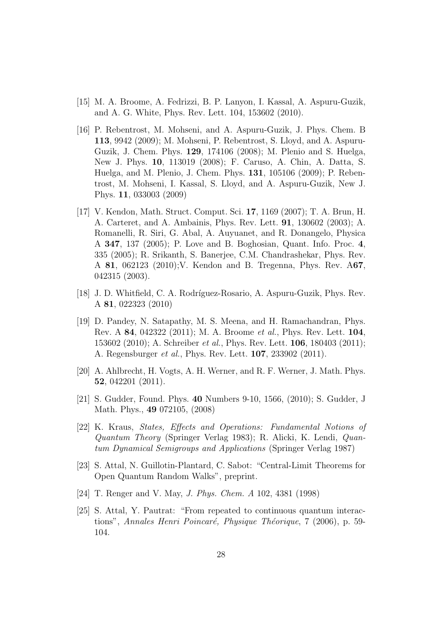- [15] M. A. Broome, A. Fedrizzi, B. P. Lanyon, I. Kassal, A. Aspuru-Guzik, and A. G. White, Phys. Rev. Lett. 104, 153602 (2010).
- [16] P. Rebentrost, M. Mohseni, and A. Aspuru-Guzik, J. Phys. Chem. B 113, 9942 (2009); M. Mohseni, P. Rebentrost, S. Lloyd, and A. Aspuru-Guzik, J. Chem. Phys. 129, 174106 (2008); M. Plenio and S. Huelga, New J. Phys. 10, 113019 (2008); F. Caruso, A. Chin, A. Datta, S. Huelga, and M. Plenio, J. Chem. Phys. 131, 105106 (2009); P. Rebentrost, M. Mohseni, I. Kassal, S. Lloyd, and A. Aspuru-Guzik, New J. Phys. 11, 033003 (2009)
- [17] V. Kendon, Math. Struct. Comput. Sci. 17, 1169 (2007); T. A. Brun, H. A. Carteret, and A. Ambainis, Phys. Rev. Lett. 91, 130602 (2003); A. Romanelli, R. Siri, G. Abal, A. Auyuanet, and R. Donangelo, Physica A 347, 137 (2005); P. Love and B. Boghosian, Quant. Info. Proc. 4, 335 (2005); R. Srikanth, S. Banerjee, C.M. Chandrashekar, Phys. Rev. A 81, 062123 (2010);V. Kendon and B. Tregenna, Phys. Rev. A67, 042315 (2003).
- [18] J. D. Whitfield, C. A. Rodríguez-Rosario, A. Aspuru-Guzik, Phys. Rev. A 81, 022323 (2010)
- [19] D. Pandey, N. Satapathy, M. S. Meena, and H. Ramachandran, Phys. Rev. A 84, 042322 (2011); M. A. Broome et al., Phys. Rev. Lett. 104, 153602 (2010); A. Schreiber et al., Phys. Rev. Lett. 106, 180403 (2011); A. Regensburger et al., Phys. Rev. Lett. 107, 233902 (2011).
- [20] A. Ahlbrecht, H. Vogts, A. H. Werner, and R. F. Werner, J. Math. Phys. 52, 042201 (2011).
- [21] S. Gudder, Found. Phys. 40 Numbers 9-10, 1566, (2010); S. Gudder, J Math. Phys., 49 072105, (2008)
- [22] K. Kraus, States, Effects and Operations: Fundamental Notions of Quantum Theory (Springer Verlag 1983); R. Alicki, K. Lendi, Quantum Dynamical Semigroups and Applications (Springer Verlag 1987)
- [23] S. Attal, N. Guillotin-Plantard, C. Sabot: "Central-Limit Theorems for Open Quantum Random Walks", preprint.
- [24] T. Renger and V. May, J. Phys. Chem. A 102, 4381 (1998)
- [25] S. Attal, Y. Pautrat: "From repeated to continuous quantum interactions", Annales Henri Poincaré, Physique Théorique, 7 (2006), p. 59-104.